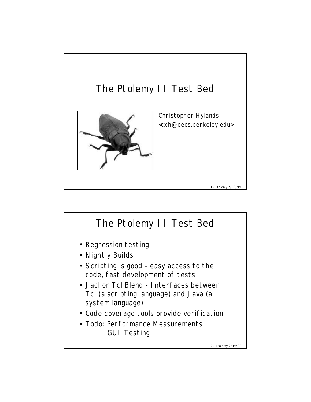

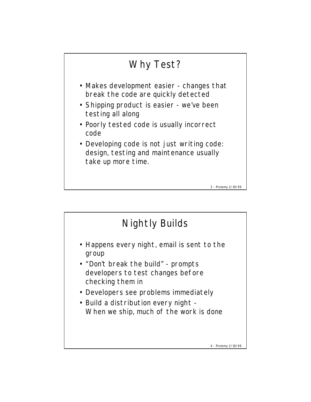

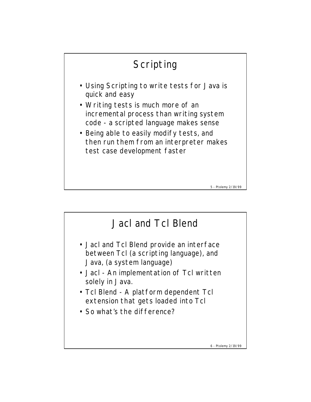

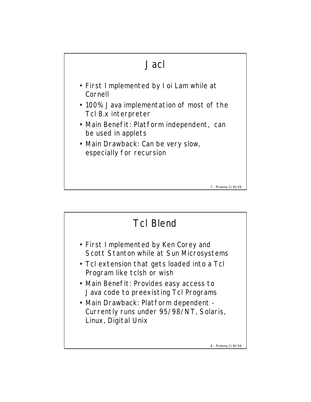

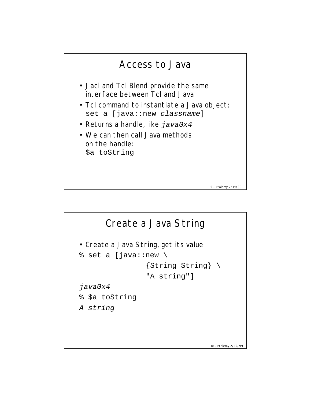

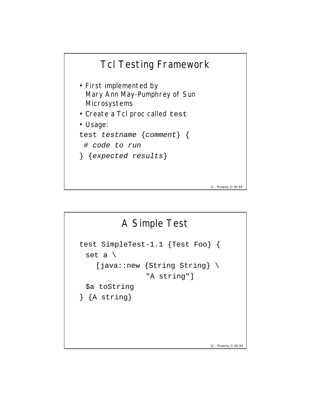

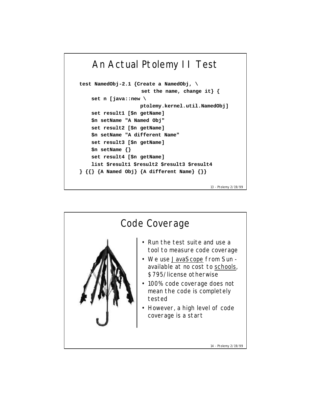```
An Actual Ptolemy II Test
test NamedObj-2.1 {Create a NamedObj, \
                     set the name, change it} {
     set n [java::new \
                     ptolemy.kernel.util.NamedObj]
     set result1 [$n getName]
     $n setName "A Named Obj"
     set result2 [$n getName]
     $n setName "A different Name"
     set result3 [$n getName]
     $n setName {}
     set result4 [$n getName]
     list $result1 $result2 $result3 $result4
} {{} {A Named Obj} {A different Name} {}}
```
13 - Ptolemy 2/19/99